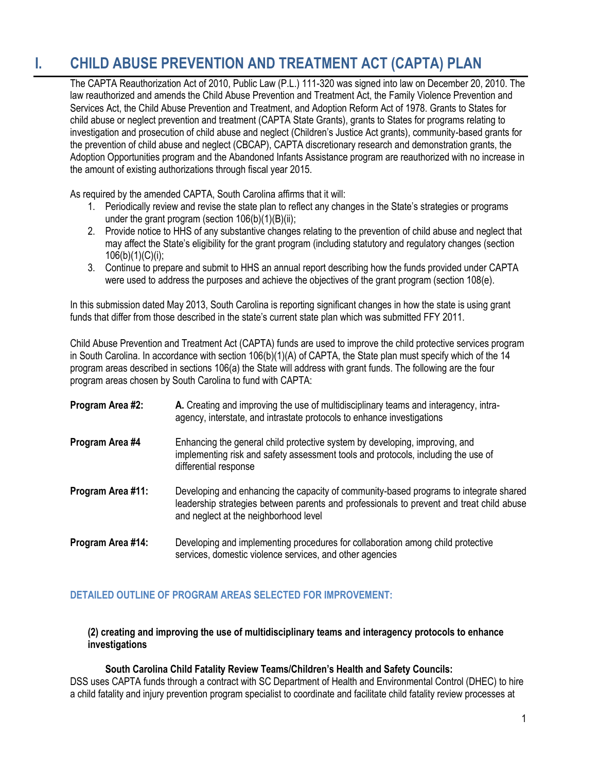# **I. CHILD ABUSE PREVENTION AND TREATMENT ACT (CAPTA) PLAN**

The CAPTA Reauthorization Act of 2010, Public Law (P.L.) 111-320 was signed into law on December 20, 2010. The law reauthorized and amends the Child Abuse Prevention and Treatment Act, the Family Violence Prevention and Services Act, the Child Abuse Prevention and Treatment, and Adoption Reform Act of 1978. Grants to States for child abuse or neglect prevention and treatment (CAPTA State Grants), grants to States for programs relating to investigation and prosecution of child abuse and neglect (Children's Justice Act grants), community-based grants for the prevention of child abuse and neglect (CBCAP), CAPTA discretionary research and demonstration grants, the Adoption Opportunities program and the Abandoned Infants Assistance program are reauthorized with no increase in the amount of existing authorizations through fiscal year 2015.

As required by the amended CAPTA, South Carolina affirms that it will:

- 1. Periodically review and revise the state plan to reflect any changes in the State's strategies or programs under the grant program (section  $106(b)(1)(B)(ii)$ ;
- 2. Provide notice to HHS of any substantive changes relating to the prevention of child abuse and neglect that may affect the State's eligibility for the grant program (including statutory and regulatory changes (section  $106(b)(1)(C)(i);$
- 3. Continue to prepare and submit to HHS an annual report describing how the funds provided under CAPTA were used to address the purposes and achieve the objectives of the grant program (section 108(e).

In this submission dated May 2013, South Carolina is reporting significant changes in how the state is using grant funds that differ from those described in the state's current state plan which was submitted FFY 2011.

Child Abuse Prevention and Treatment Act (CAPTA) funds are used to improve the child protective services program in South Carolina. In accordance with section 106(b)(1)(A) of CAPTA, the State plan must specify which of the 14 program areas described in sections 106(a) the State will address with grant funds. The following are the four program areas chosen by South Carolina to fund with CAPTA:

| Program Area #2:  | A. Creating and improving the use of multidisciplinary teams and interagency, intra-<br>agency, interstate, and intrastate protocols to enhance investigations                                                             |
|-------------------|----------------------------------------------------------------------------------------------------------------------------------------------------------------------------------------------------------------------------|
| Program Area #4   | Enhancing the general child protective system by developing, improving, and<br>implementing risk and safety assessment tools and protocols, including the use of<br>differential response                                  |
| Program Area #11: | Developing and enhancing the capacity of community-based programs to integrate shared<br>leadership strategies between parents and professionals to prevent and treat child abuse<br>and neglect at the neighborhood level |
| Program Area #14: | Developing and implementing procedures for collaboration among child protective<br>services, domestic violence services, and other agencies                                                                                |

# **DETAILED OUTLINE OF PROGRAM AREAS SELECTED FOR IMPROVEMENT:**

#### **(2) creating and improving the use of multidisciplinary teams and interagency protocols to enhance investigations**

# **South Carolina Child Fatality Review Teams/Children's Health and Safety Councils:**

DSS uses CAPTA funds through a contract with SC Department of Health and Environmental Control (DHEC) to hire a child fatality and injury prevention program specialist to coordinate and facilitate child fatality review processes at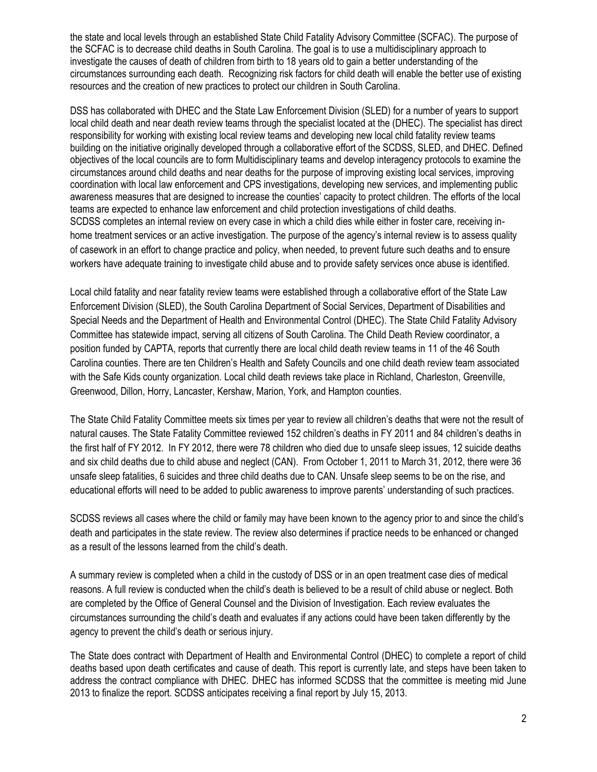the state and local levels through an established State Child Fatality Advisory Committee (SCFAC). The purpose of the SCFAC is to decrease child deaths in South Carolina. The goal is to use a multidisciplinary approach to investigate the causes of death of children from birth to 18 years old to gain a better understanding of the circumstances surrounding each death. Recognizing risk factors for child death will enable the better use of existing resources and the creation of new practices to protect our children in South Carolina.

DSS has collaborated with DHEC and the State Law Enforcement Division (SLED) for a number of years to support local child death and near death review teams through the specialist located at the (DHEC). The specialist has direct responsibility for working with existing local review teams and developing new local child fatality review teams building on the initiative originally developed through a collaborative effort of the SCDSS, SLED, and DHEC. Defined objectives of the local councils are to form Multidisciplinary teams and develop interagency protocols to examine the circumstances around child deaths and near deaths for the purpose of improving existing local services, improving coordination with local law enforcement and CPS investigations, developing new services, and implementing public awareness measures that are designed to increase the counties' capacity to protect children. The efforts of the local teams are expected to enhance law enforcement and child protection investigations of child deaths. SCDSS completes an internal review on every case in which a child dies while either in foster care, receiving inhome treatment services or an active investigation. The purpose of the agency's internal review is to assess quality of casework in an effort to change practice and policy, when needed, to prevent future such deaths and to ensure workers have adequate training to investigate child abuse and to provide safety services once abuse is identified.

Local child fatality and near fatality review teams were established through a collaborative effort of the State Law Enforcement Division (SLED), the South Carolina Department of Social Services, Department of Disabilities and Special Needs and the Department of Health and Environmental Control (DHEC). The State Child Fatality Advisory Committee has statewide impact, serving all citizens of South Carolina. The Child Death Review coordinator, a position funded by CAPTA, reports that currently there are local child death review teams in 11 of the 46 South Carolina counties. There are ten Children's Health and Safety Councils and one child death review team associated with the Safe Kids county organization. Local child death reviews take place in Richland, Charleston, Greenville, Greenwood, Dillon, Horry, Lancaster, Kershaw, Marion, York, and Hampton counties.

The State Child Fatality Committee meets six times per year to review all children's deaths that were not the result of natural causes. The State Fatality Committee reviewed 152 children's deaths in FY 2011 and 84 children's deaths in the first half of FY 2012. In FY 2012, there were 78 children who died due to unsafe sleep issues, 12 suicide deaths and six child deaths due to child abuse and neglect (CAN). From October 1, 2011 to March 31, 2012, there were 36 unsafe sleep fatalities, 6 suicides and three child deaths due to CAN. Unsafe sleep seems to be on the rise, and educational efforts will need to be added to public awareness to improve parents' understanding of such practices.

SCDSS reviews all cases where the child or family may have been known to the agency prior to and since the child's death and participates in the state review. The review also determines if practice needs to be enhanced or changed as a result of the lessons learned from the child's death.

A summary review is completed when a child in the custody of DSS or in an open treatment case dies of medical reasons. A full review is conducted when the child's death is believed to be a result of child abuse or neglect. Both are completed by the Office of General Counsel and the Division of Investigation. Each review evaluates the circumstances surrounding the child's death and evaluates if any actions could have been taken differently by the agency to prevent the child's death or serious injury.

The State does contract with Department of Health and Environmental Control (DHEC) to complete a report of child deaths based upon death certificates and cause of death. This report is currently late, and steps have been taken to address the contract compliance with DHEC. DHEC has informed SCDSS that the committee is meeting mid June 2013 to finalize the report. SCDSS anticipates receiving a final report by July 15, 2013.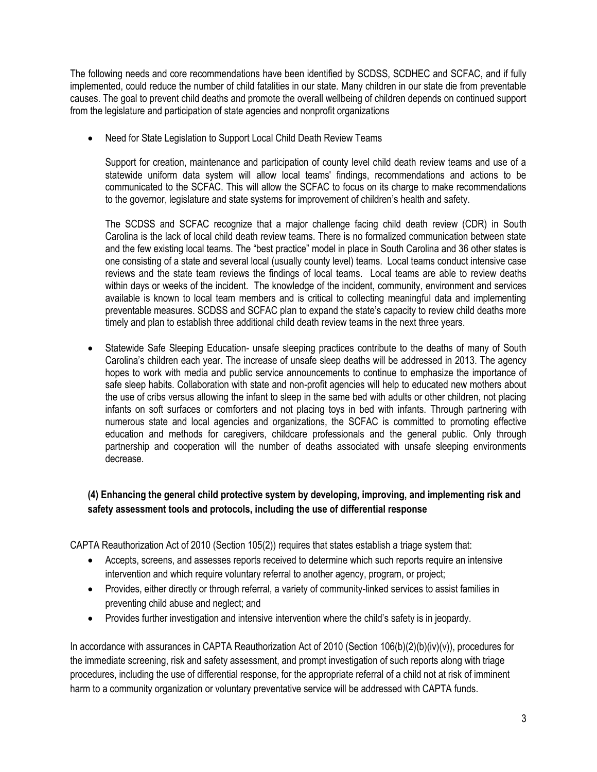The following needs and core recommendations have been identified by SCDSS, SCDHEC and SCFAC, and if fully implemented, could reduce the number of child fatalities in our state. Many children in our state die from preventable causes. The goal to prevent child deaths and promote the overall wellbeing of children depends on continued support from the legislature and participation of state agencies and nonprofit organizations

Need for State Legislation to Support Local Child Death Review Teams

Support for creation, maintenance and participation of county level child death review teams and use of a statewide uniform data system will allow local teams' findings, recommendations and actions to be communicated to the SCFAC. This will allow the SCFAC to focus on its charge to make recommendations to the governor, legislature and state systems for improvement of children's health and safety.

The SCDSS and SCFAC recognize that a major challenge facing child death review (CDR) in South Carolina is the lack of local child death review teams. There is no formalized communication between state and the few existing local teams. The "best practice" model in place in South Carolina and 36 other states is one consisting of a state and several local (usually county level) teams. Local teams conduct intensive case reviews and the state team reviews the findings of local teams. Local teams are able to review deaths within days or weeks of the incident. The knowledge of the incident, community, environment and services available is known to local team members and is critical to collecting meaningful data and implementing preventable measures. SCDSS and SCFAC plan to expand the state's capacity to review child deaths more timely and plan to establish three additional child death review teams in the next three years.

 Statewide Safe Sleeping Education- unsafe sleeping practices contribute to the deaths of many of South Carolina's children each year. The increase of unsafe sleep deaths will be addressed in 2013. The agency hopes to work with media and public service announcements to continue to emphasize the importance of safe sleep habits. Collaboration with state and non-profit agencies will help to educated new mothers about the use of cribs versus allowing the infant to sleep in the same bed with adults or other children, not placing infants on soft surfaces or comforters and not placing toys in bed with infants. Through partnering with numerous state and local agencies and organizations, the SCFAC is committed to promoting effective education and methods for caregivers, childcare professionals and the general public. Only through partnership and cooperation will the number of deaths associated with unsafe sleeping environments decrease.

# **(4) Enhancing the general child protective system by developing, improving, and implementing risk and safety assessment tools and protocols, including the use of differential response**

CAPTA Reauthorization Act of 2010 (Section 105(2)) requires that states establish a triage system that:

- Accepts, screens, and assesses reports received to determine which such reports require an intensive intervention and which require voluntary referral to another agency, program, or project;
- Provides, either directly or through referral, a variety of community-linked services to assist families in preventing child abuse and neglect; and
- Provides further investigation and intensive intervention where the child's safety is in jeopardy.

In accordance with assurances in CAPTA Reauthorization Act of 2010 (Section 106(b)(2)(b)(iv)(v)), procedures for the immediate screening, risk and safety assessment, and prompt investigation of such reports along with triage procedures, including the use of differential response, for the appropriate referral of a child not at risk of imminent harm to a community organization or voluntary preventative service will be addressed with CAPTA funds.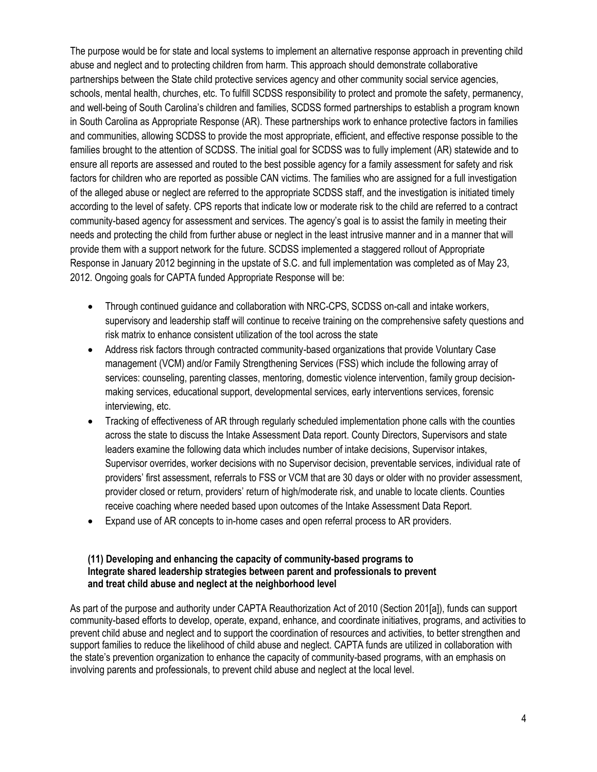The purpose would be for state and local systems to implement an alternative response approach in preventing child abuse and neglect and to protecting children from harm. This approach should demonstrate collaborative partnerships between the State child protective services agency and other community social service agencies, schools, mental health, churches, etc. To fulfill SCDSS responsibility to protect and promote the safety, permanency, and well-being of South Carolina's children and families, SCDSS formed partnerships to establish a program known in South Carolina as Appropriate Response (AR). These partnerships work to enhance protective factors in families and communities, allowing SCDSS to provide the most appropriate, efficient, and effective response possible to the families brought to the attention of SCDSS. The initial goal for SCDSS was to fully implement (AR) statewide and to ensure all reports are assessed and routed to the best possible agency for a family assessment for safety and risk factors for children who are reported as possible CAN victims. The families who are assigned for a full investigation of the alleged abuse or neglect are referred to the appropriate SCDSS staff, and the investigation is initiated timely according to the level of safety. CPS reports that indicate low or moderate risk to the child are referred to a contract community-based agency for assessment and services. The agency's goal is to assist the family in meeting their needs and protecting the child from further abuse or neglect in the least intrusive manner and in a manner that will provide them with a support network for the future. SCDSS implemented a staggered rollout of Appropriate Response in January 2012 beginning in the upstate of S.C. and full implementation was completed as of May 23, 2012. Ongoing goals for CAPTA funded Appropriate Response will be:

- Through continued guidance and collaboration with NRC-CPS, SCDSS on-call and intake workers, supervisory and leadership staff will continue to receive training on the comprehensive safety questions and risk matrix to enhance consistent utilization of the tool across the state
- Address risk factors through contracted community-based organizations that provide Voluntary Case management (VCM) and/or Family Strengthening Services (FSS) which include the following array of services: counseling, parenting classes, mentoring, domestic violence intervention, family group decisionmaking services, educational support, developmental services, early interventions services, forensic interviewing, etc.
- Tracking of effectiveness of AR through regularly scheduled implementation phone calls with the counties across the state to discuss the Intake Assessment Data report. County Directors, Supervisors and state leaders examine the following data which includes number of intake decisions, Supervisor intakes, Supervisor overrides, worker decisions with no Supervisor decision, preventable services, individual rate of providers' first assessment, referrals to FSS or VCM that are 30 days or older with no provider assessment, provider closed or return, providers' return of high/moderate risk, and unable to locate clients. Counties receive coaching where needed based upon outcomes of the Intake Assessment Data Report.
- Expand use of AR concepts to in-home cases and open referral process to AR providers.

#### **(11) Developing and enhancing the capacity of community-based programs to Integrate shared leadership strategies between parent and professionals to prevent and treat child abuse and neglect at the neighborhood level**

As part of the purpose and authority under CAPTA Reauthorization Act of 2010 (Section 201[a]), funds can support community-based efforts to develop, operate, expand, enhance, and coordinate initiatives, programs, and activities to prevent child abuse and neglect and to support the coordination of resources and activities, to better strengthen and support families to reduce the likelihood of child abuse and neglect. CAPTA funds are utilized in collaboration with the state's prevention organization to enhance the capacity of community-based programs, with an emphasis on involving parents and professionals, to prevent child abuse and neglect at the local level.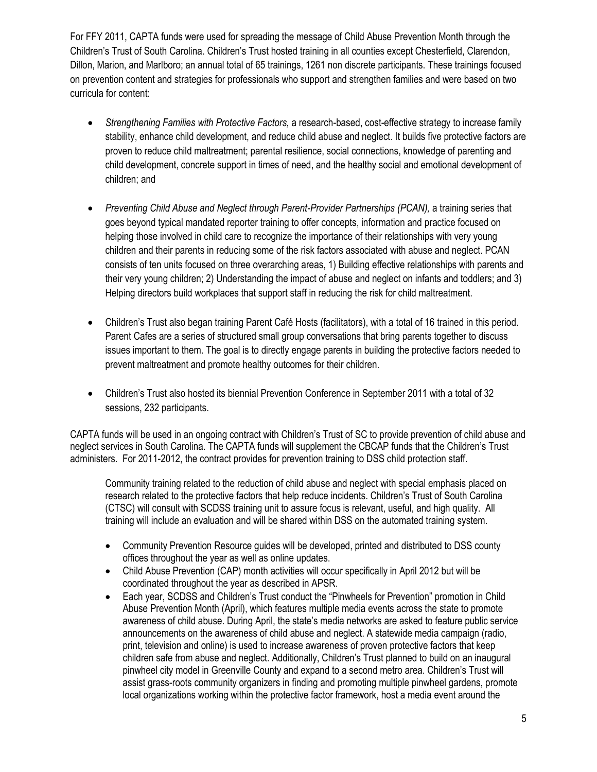For FFY 2011, CAPTA funds were used for spreading the message of Child Abuse Prevention Month through the Children's Trust of South Carolina. Children's Trust hosted training in all counties except Chesterfield, Clarendon, Dillon, Marion, and Marlboro; an annual total of 65 trainings, 1261 non discrete participants. These trainings focused on prevention content and strategies for professionals who support and strengthen families and were based on two curricula for content:

- *Strengthening Families with Protective Factors,* a research-based, cost-effective strategy to increase family stability, enhance child development, and reduce child abuse and neglect. It builds five protective factors are proven to reduce child maltreatment; parental resilience, social connections, knowledge of parenting and child development, concrete support in times of need, and the healthy social and emotional development of children; and
- *Preventing Child Abuse and Neglect through Parent-Provider Partnerships (PCAN), a training series that* goes beyond typical mandated reporter training to offer concepts, information and practice focused on helping those involved in child care to recognize the importance of their relationships with very young children and their parents in reducing some of the risk factors associated with abuse and neglect. PCAN consists of ten units focused on three overarching areas, 1) Building effective relationships with parents and their very young children; 2) Understanding the impact of abuse and neglect on infants and toddlers; and 3) Helping directors build workplaces that support staff in reducing the risk for child maltreatment.
- Children's Trust also began training Parent Café Hosts (facilitators), with a total of 16 trained in this period. Parent Cafes are a series of structured small group conversations that bring parents together to discuss issues important to them. The goal is to directly engage parents in building the protective factors needed to prevent maltreatment and promote healthy outcomes for their children.
- Children's Trust also hosted its biennial Prevention Conference in September 2011 with a total of 32 sessions, 232 participants.

CAPTA funds will be used in an ongoing contract with Children's Trust of SC to provide prevention of child abuse and neglect services in South Carolina. The CAPTA funds will supplement the CBCAP funds that the Children's Trust administers. For 2011-2012, the contract provides for prevention training to DSS child protection staff.

Community training related to the reduction of child abuse and neglect with special emphasis placed on research related to the protective factors that help reduce incidents. Children's Trust of South Carolina (CTSC) will consult with SCDSS training unit to assure focus is relevant, useful, and high quality. All training will include an evaluation and will be shared within DSS on the automated training system.

- Community Prevention Resource guides will be developed, printed and distributed to DSS county offices throughout the year as well as online updates.
- Child Abuse Prevention (CAP) month activities will occur specifically in April 2012 but will be coordinated throughout the year as described in APSR.
- Each year, SCDSS and Children's Trust conduct the "Pinwheels for Prevention" promotion in Child Abuse Prevention Month (April), which features multiple media events across the state to promote awareness of child abuse. During April, the state's media networks are asked to feature public service announcements on the awareness of child abuse and neglect. A statewide media campaign (radio, print, television and online) is used to increase awareness of proven protective factors that keep children safe from abuse and neglect. Additionally, Children's Trust planned to build on an inaugural pinwheel city model in Greenville County and expand to a second metro area. Children's Trust will assist grass-roots community organizers in finding and promoting multiple pinwheel gardens, promote local organizations working within the protective factor framework, host a media event around the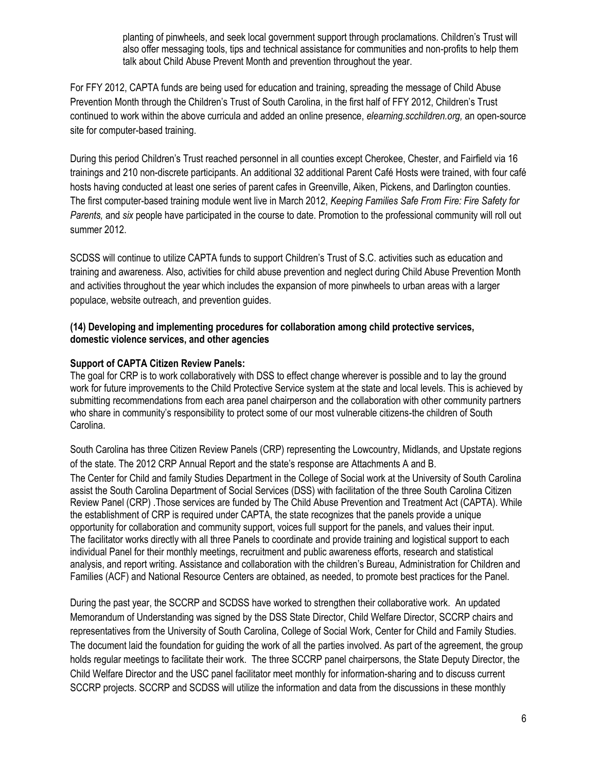planting of pinwheels, and seek local government support through proclamations. Children's Trust will also offer messaging tools, tips and technical assistance for communities and non-profits to help them talk about Child Abuse Prevent Month and prevention throughout the year.

For FFY 2012, CAPTA funds are being used for education and training, spreading the message of Child Abuse Prevention Month through the Children's Trust of South Carolina, in the first half of FFY 2012, Children's Trust continued to work within the above curricula and added an online presence, *elearning.scchildren.org,* an open-source site for computer-based training.

During this period Children's Trust reached personnel in all counties except Cherokee, Chester, and Fairfield via 16 trainings and 210 non-discrete participants. An additional 32 additional Parent Café Hosts were trained, with four café hosts having conducted at least one series of parent cafes in Greenville, Aiken, Pickens, and Darlington counties. The first computer-based training module went live in March 2012, *Keeping Families Safe From Fire: Fire Safety for Parents,* and *six* people have participated in the course to date. Promotion to the professional community will roll out summer 2012.

SCDSS will continue to utilize CAPTA funds to support Children's Trust of S.C. activities such as education and training and awareness. Also, activities for child abuse prevention and neglect during Child Abuse Prevention Month and activities throughout the year which includes the expansion of more pinwheels to urban areas with a larger populace, website outreach, and prevention guides.

### **(14) Developing and implementing procedures for collaboration among child protective services, domestic violence services, and other agencies**

# **Support of CAPTA Citizen Review Panels:**

The goal for CRP is to work collaboratively with DSS to effect change wherever is possible and to lay the ground work for future improvements to the Child Protective Service system at the state and local levels. This is achieved by submitting recommendations from each area panel chairperson and the collaboration with other community partners who share in community's responsibility to protect some of our most vulnerable citizens-the children of South Carolina.

South Carolina has three Citizen Review Panels (CRP) representing the Lowcountry, Midlands, and Upstate regions of the state. The 2012 CRP Annual Report and the state's response are Attachments A and B.

The Center for Child and family Studies Department in the College of Social work at the University of South Carolina assist the South Carolina Department of Social Services (DSS) with facilitation of the three South Carolina Citizen Review Panel (CRP) .Those services are funded by The Child Abuse Prevention and Treatment Act (CAPTA). While the establishment of CRP is required under CAPTA, the state recognizes that the panels provide a unique opportunity for collaboration and community support, voices full support for the panels, and values their input. The facilitator works directly with all three Panels to coordinate and provide training and logistical support to each individual Panel for their monthly meetings, recruitment and public awareness efforts, research and statistical analysis, and report writing. Assistance and collaboration with the children's Bureau, Administration for Children and Families (ACF) and National Resource Centers are obtained, as needed, to promote best practices for the Panel.

During the past year, the SCCRP and SCDSS have worked to strengthen their collaborative work. An updated Memorandum of Understanding was signed by the DSS State Director, Child Welfare Director, SCCRP chairs and representatives from the University of South Carolina, College of Social Work, Center for Child and Family Studies. The document laid the foundation for guiding the work of all the parties involved. As part of the agreement, the group holds regular meetings to facilitate their work. The three SCCRP panel chairpersons, the State Deputy Director, the Child Welfare Director and the USC panel facilitator meet monthly for information-sharing and to discuss current SCCRP projects. SCCRP and SCDSS will utilize the information and data from the discussions in these monthly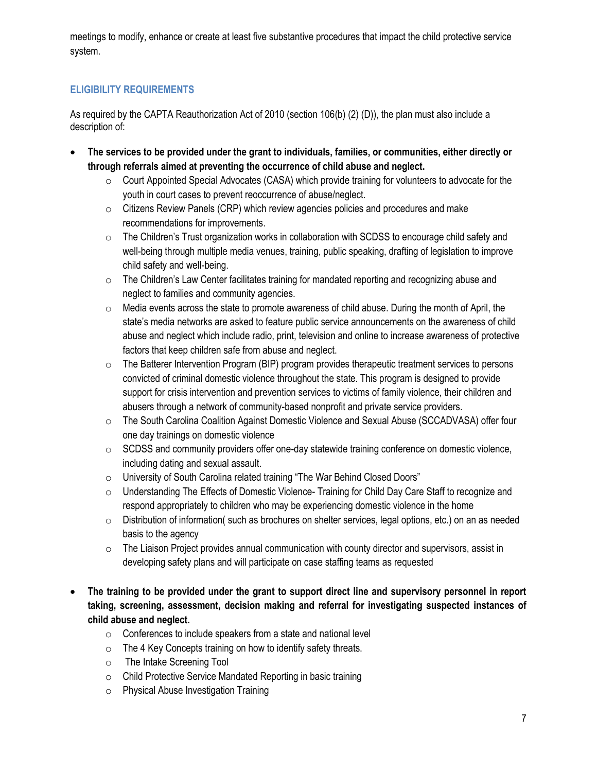meetings to modify, enhance or create at least five substantive procedures that impact the child protective service system.

# **ELIGIBILITY REQUIREMENTS**

As required by the CAPTA Reauthorization Act of 2010 (section 106(b) (2) (D)), the plan must also include a description of:

- **The services to be provided under the grant to individuals, families, or communities, either directly or through referrals aimed at preventing the occurrence of child abuse and neglect.**
	- $\circ$  Court Appointed Special Advocates (CASA) which provide training for volunteers to advocate for the youth in court cases to prevent reoccurrence of abuse/neglect.
	- o Citizens Review Panels (CRP) which review agencies policies and procedures and make recommendations for improvements.
	- $\circ$  The Children's Trust organization works in collaboration with SCDSS to encourage child safety and well-being through multiple media venues, training, public speaking, drafting of legislation to improve child safety and well-being.
	- $\circ$  The Children's Law Center facilitates training for mandated reporting and recognizing abuse and neglect to families and community agencies.
	- $\circ$  Media events across the state to promote awareness of child abuse. During the month of April, the state's media networks are asked to feature public service announcements on the awareness of child abuse and neglect which include radio, print, television and online to increase awareness of protective factors that keep children safe from abuse and neglect.
	- o The Batterer Intervention Program (BIP) program provides therapeutic treatment services to persons convicted of criminal domestic violence throughout the state. This program is designed to provide support for crisis intervention and prevention services to victims of family violence, their children and abusers through a network of community-based nonprofit and private service providers.
	- o The South Carolina Coalition Against Domestic Violence and Sexual Abuse (SCCADVASA) offer four one day trainings on domestic violence
	- o SCDSS and community providers offer one-day statewide training conference on domestic violence, including dating and sexual assault.
	- o University of South Carolina related training "The War Behind Closed Doors"
	- o Understanding The Effects of Domestic Violence- Training for Child Day Care Staff to recognize and respond appropriately to children who may be experiencing domestic violence in the home
	- $\circ$  Distribution of information( such as brochures on shelter services, legal options, etc.) on an as needed basis to the agency
	- $\circ$  The Liaison Project provides annual communication with county director and supervisors, assist in developing safety plans and will participate on case staffing teams as requested
- **The training to be provided under the grant to support direct line and supervisory personnel in report taking, screening, assessment, decision making and referral for investigating suspected instances of child abuse and neglect.**
	- $\circ$  Conferences to include speakers from a state and national level
	- $\circ$  The 4 Key Concepts training on how to identify safety threats.
	- o The Intake Screening Tool
	- o Child Protective Service Mandated Reporting in basic training
	- o Physical Abuse Investigation Training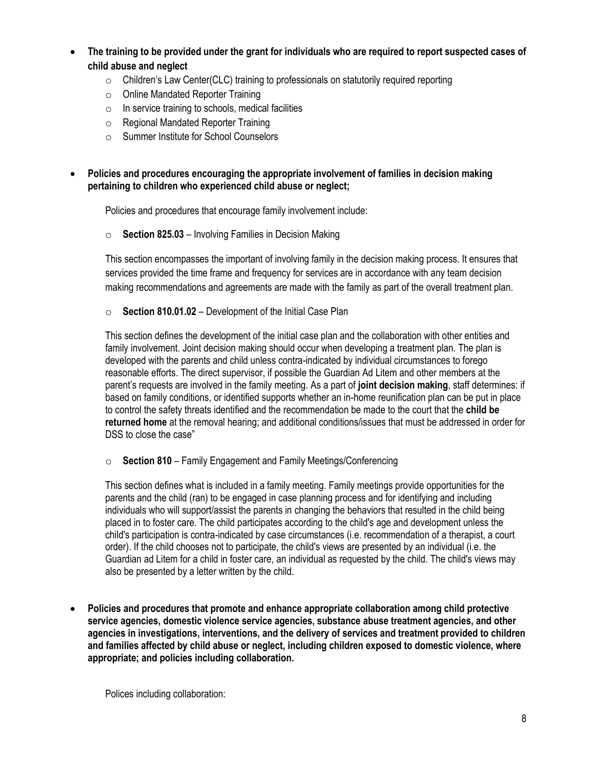- **The training to be provided under the grant for individuals who are required to report suspected cases of child abuse and neglect**
	- $\circ$  Children's Law Center(CLC) training to professionals on statutorily required reporting
	- o Online Mandated Reporter Training
	- $\circ$  In service training to schools, medical facilities
	- o Regional Mandated Reporter Training
	- o Summer Institute for School Counselors

 **Policies and procedures encouraging the appropriate involvement of families in decision making pertaining to children who experienced child abuse or neglect;** 

Policies and procedures that encourage family involvement include:

o **Section 825.03** – Involving Families in Decision Making

This section encompasses the important of involving family in the decision making process. It ensures that services provided the time frame and frequency for services are in accordance with any team decision making recommendations and agreements are made with the family as part of the overall treatment plan.

o **Section 810.01.02** – Development of the Initial Case Plan

This section defines the development of the initial case plan and the collaboration with other entities and family involvement. Joint decision making should occur when developing a treatment plan. The plan is developed with the parents and child unless contra-indicated by individual circumstances to forego reasonable efforts. The direct supervisor, if possible the Guardian Ad Litem and other members at the parent's requests are involved in the family meeting. As a part of **joint decision making**, staff determines: if based on family conditions, or identified supports whether an in-home reunification plan can be put in place to control the safety threats identified and the recommendation be made to the court that the **child be returned home** at the removal hearing; and additional conditions/issues that must be addressed in order for DSS to close the case"

o **Section 810** – Family Engagement and Family Meetings/Conferencing

This section defines what is included in a family meeting. Family meetings provide opportunities for the parents and the child (ran) to be engaged in case planning process and for identifying and including individuals who will support/assist the parents in changing the behaviors that resulted in the child being placed in to foster care. The child participates according to the child's age and development unless the child's participation is contra-indicated by case circumstances (i.e. recommendation of a therapist, a court order). If the child chooses not to participate, the child's views are presented by an individual (i.e. the Guardian ad Litem for a child in foster care, an individual as requested by the child. The child's views may also be presented by a letter written by the child.

 **Policies and procedures that promote and enhance appropriate collaboration among child protective service agencies, domestic violence service agencies, substance abuse treatment agencies, and other agencies in investigations, interventions, and the delivery of services and treatment provided to children and families affected by child abuse or neglect, including children exposed to domestic violence, where appropriate; and policies including collaboration.**

Polices including collaboration: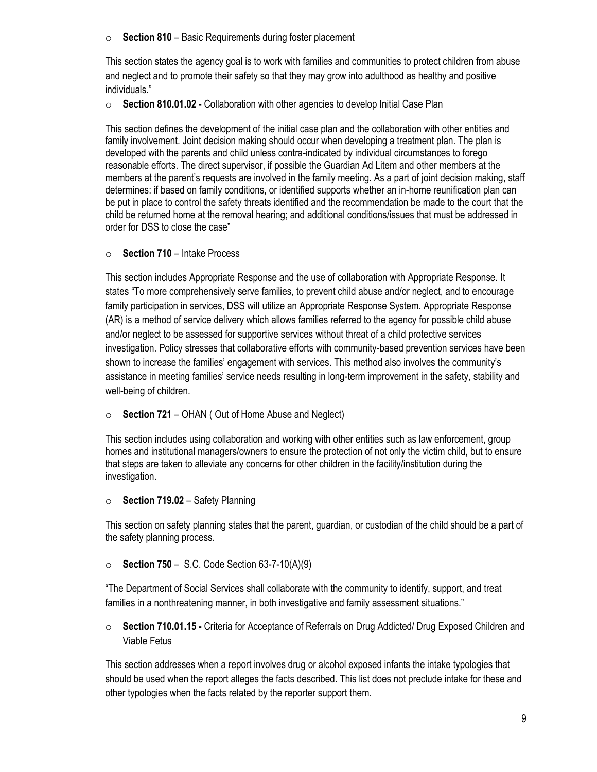o **Section 810** – Basic Requirements during foster placement

This section states the agency goal is to work with families and communities to protect children from abuse and neglect and to promote their safety so that they may grow into adulthood as healthy and positive individuals."

o **Section 810.01.02** - Collaboration with other agencies to develop Initial Case Plan

This section defines the development of the initial case plan and the collaboration with other entities and family involvement. Joint decision making should occur when developing a treatment plan. The plan is developed with the parents and child unless contra-indicated by individual circumstances to forego reasonable efforts. The direct supervisor, if possible the Guardian Ad Litem and other members at the members at the parent's requests are involved in the family meeting. As a part of joint decision making, staff determines: if based on family conditions, or identified supports whether an in-home reunification plan can be put in place to control the safety threats identified and the recommendation be made to the court that the child be returned home at the removal hearing; and additional conditions/issues that must be addressed in order for DSS to close the case"

o **Section 710** – Intake Process

This section includes Appropriate Response and the use of collaboration with Appropriate Response. It states "To more comprehensively serve families, to prevent child abuse and/or neglect, and to encourage family participation in services, DSS will utilize an Appropriate Response System. Appropriate Response (AR) is a method of service delivery which allows families referred to the agency for possible child abuse and/or neglect to be assessed for supportive services without threat of a child protective services investigation. Policy stresses that collaborative efforts with community-based prevention services have been shown to increase the families' engagement with services. This method also involves the community's assistance in meeting families' service needs resulting in long-term improvement in the safety, stability and well-being of children.

o **Section 721** – OHAN ( Out of Home Abuse and Neglect)

This section includes using collaboration and working with other entities such as law enforcement, group homes and institutional managers/owners to ensure the protection of not only the victim child, but to ensure that steps are taken to alleviate any concerns for other children in the facility/institution during the investigation.

o **Section 719.02** – Safety Planning

This section on safety planning states that the parent, guardian, or custodian of the child should be a part of the safety planning process.

o **Section 750** – S.C. Code Section 63-7-10(A)(9)

"The Department of Social Services shall collaborate with the community to identify, support, and treat families in a nonthreatening manner, in both investigative and family assessment situations."

o **Section 710.01.15 -** Criteria for Acceptance of Referrals on Drug Addicted/ Drug Exposed Children and Viable Fetus

This section addresses when a report involves drug or alcohol exposed infants the intake typologies that should be used when the report alleges the facts described. This list does not preclude intake for these and other typologies when the facts related by the reporter support them.